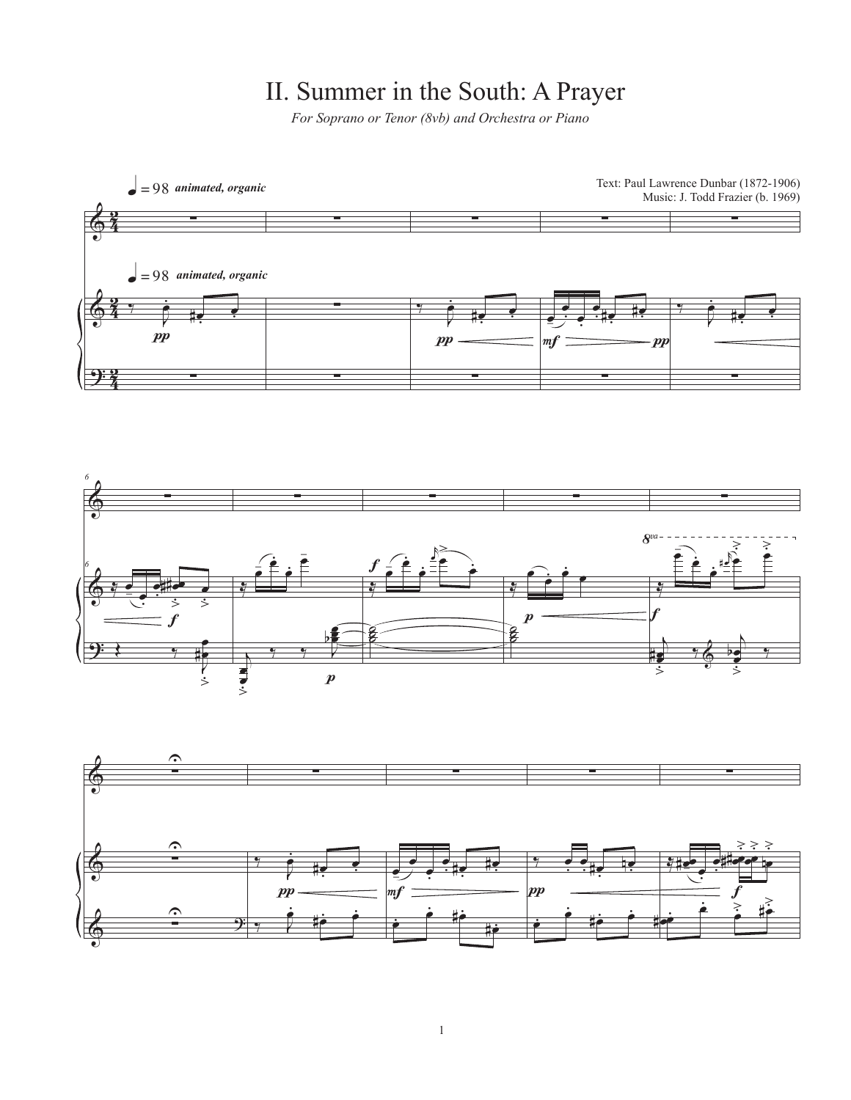## II. Summer in the South: A Prayer

*For Soprano or Tenor (8vb) and Orchestra or Piano*

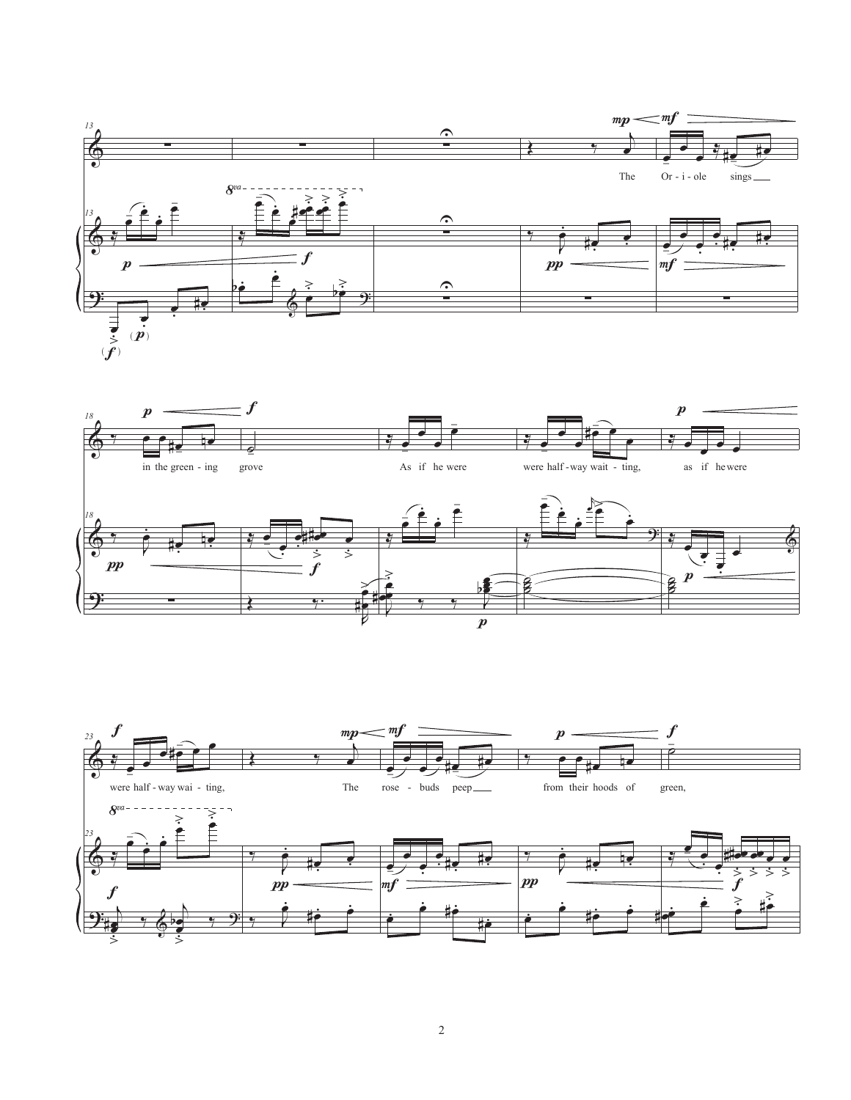



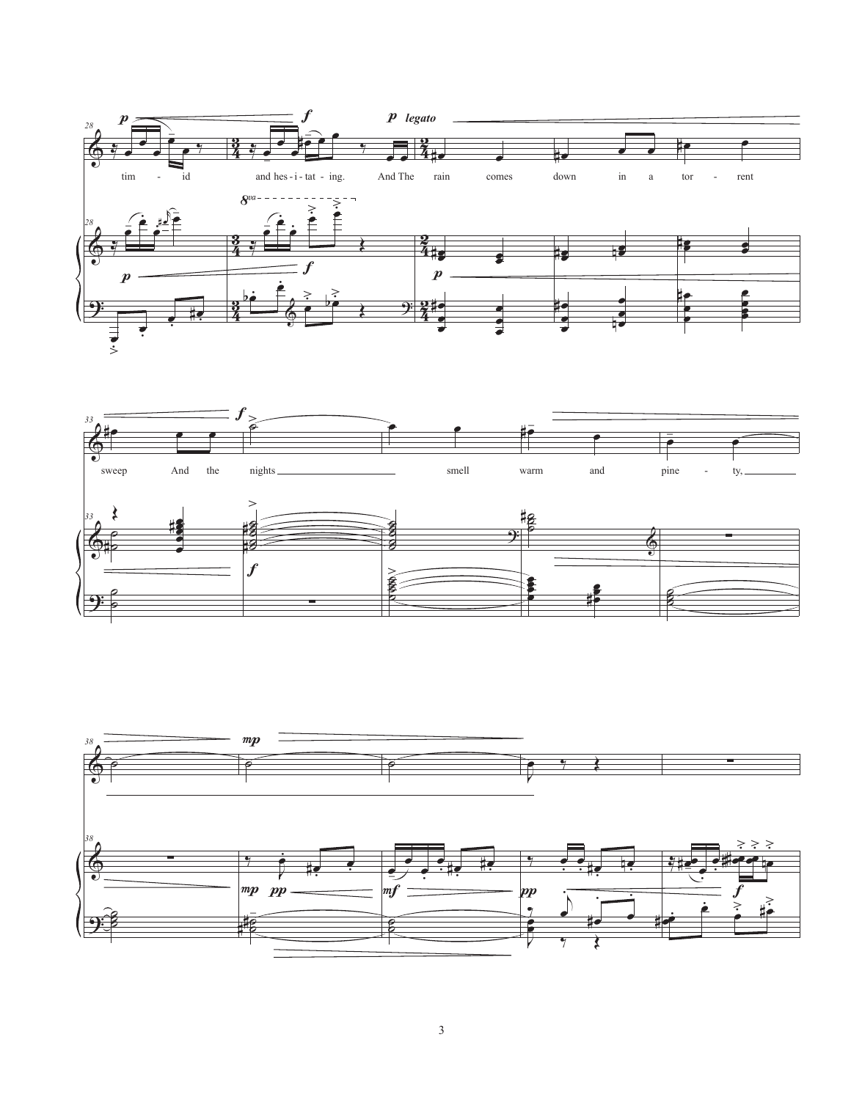



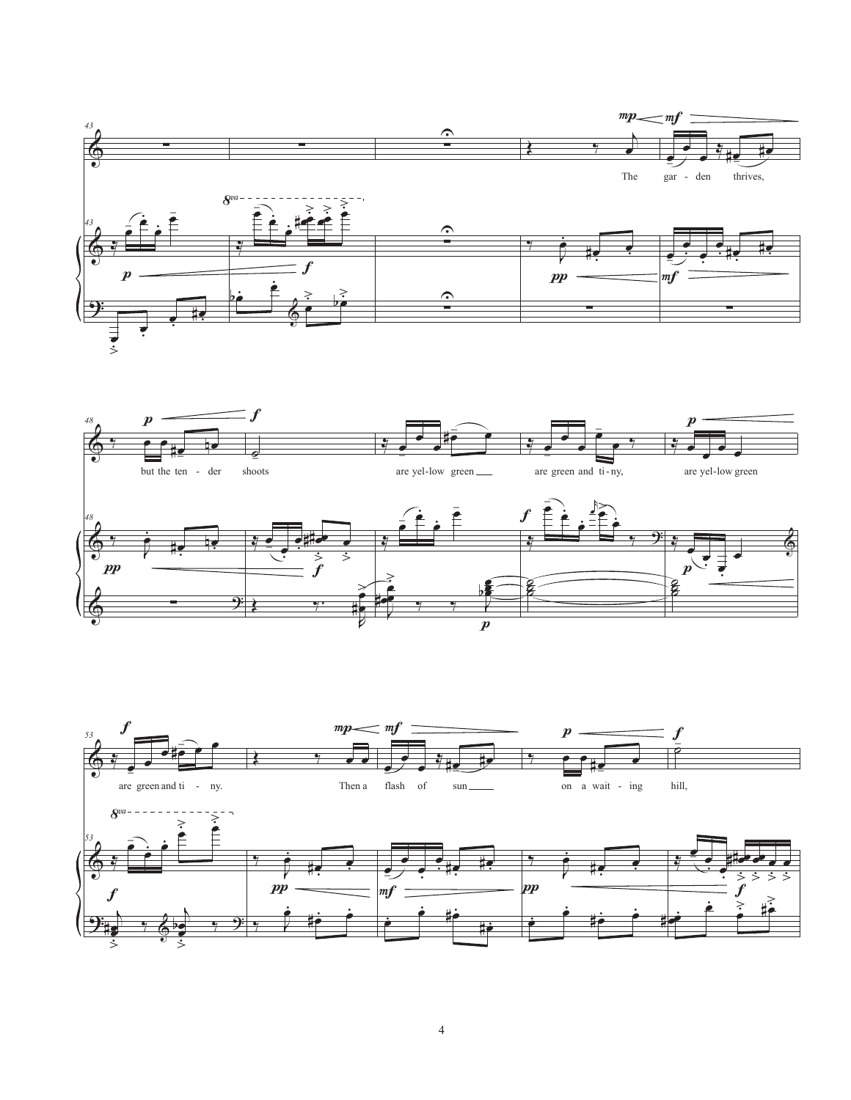



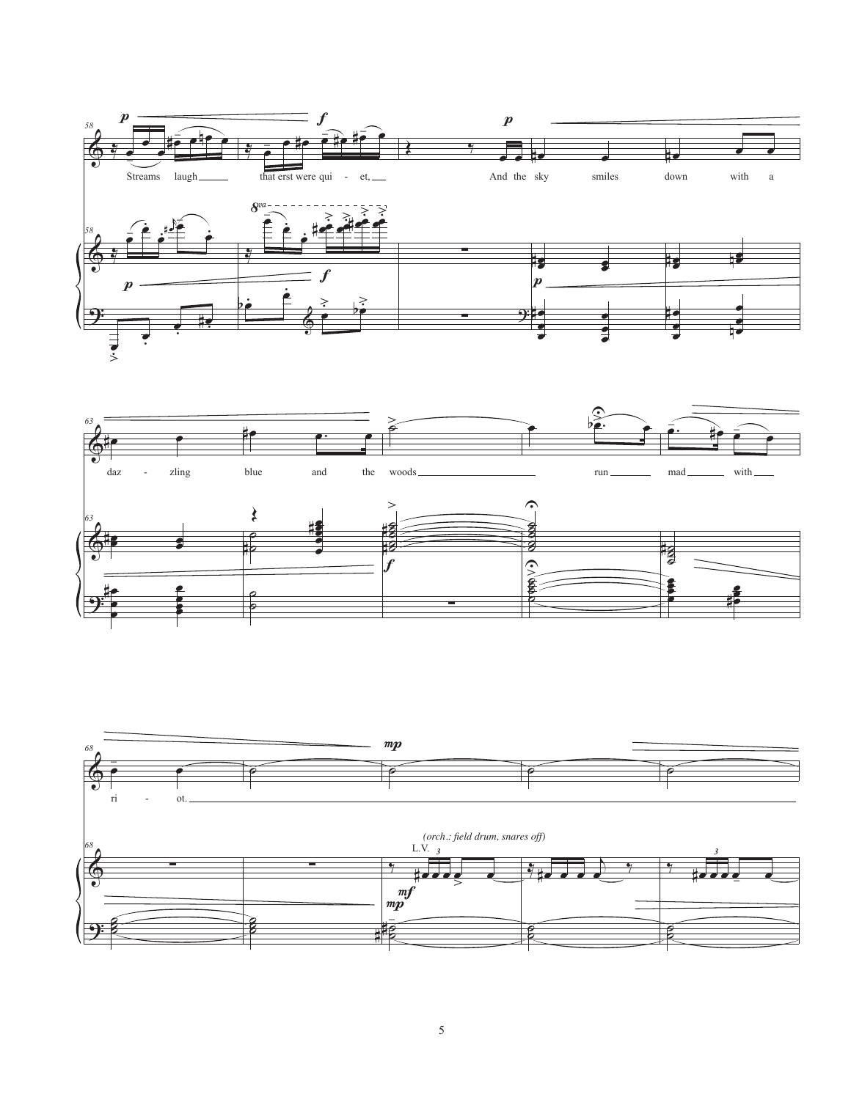



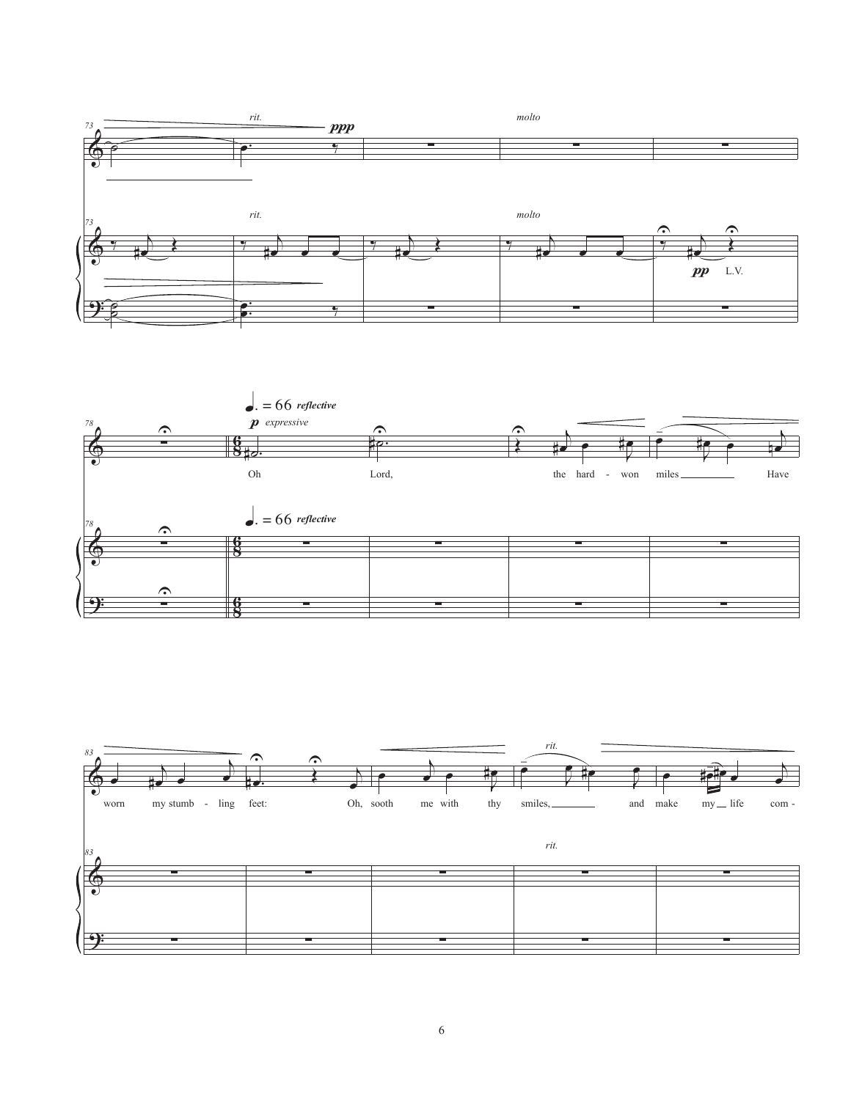



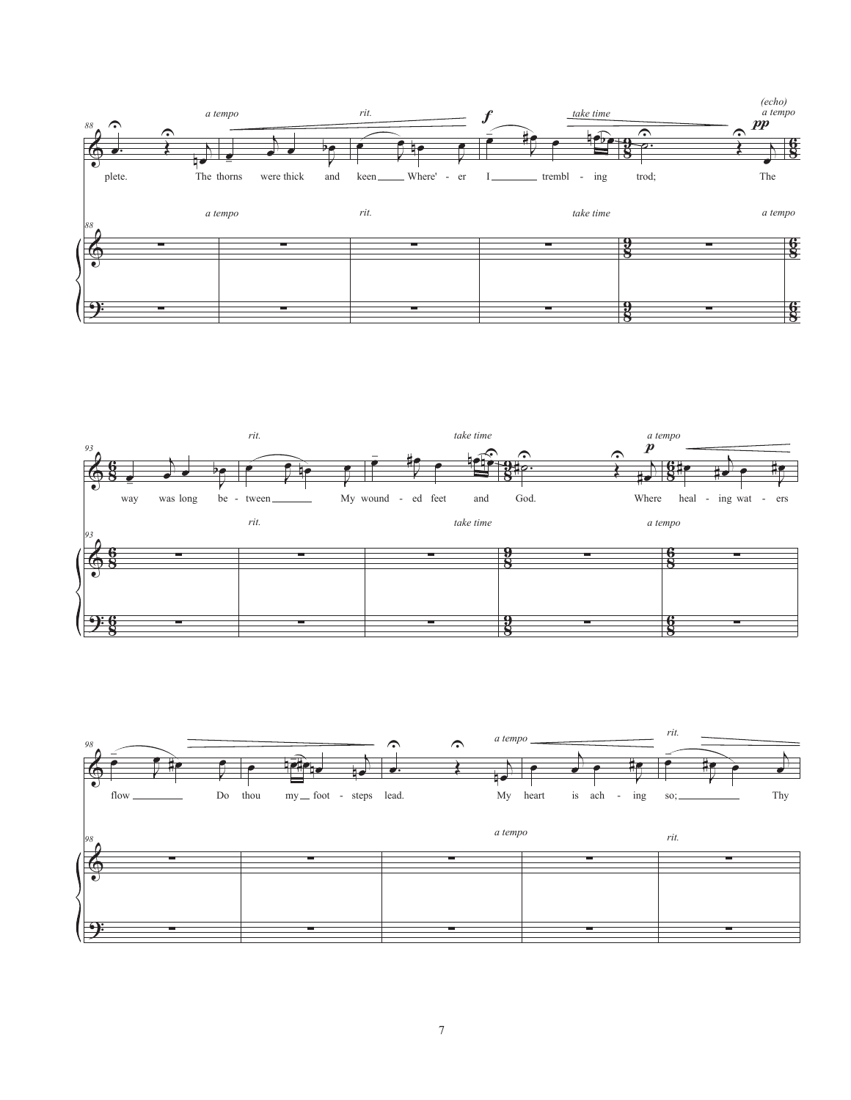



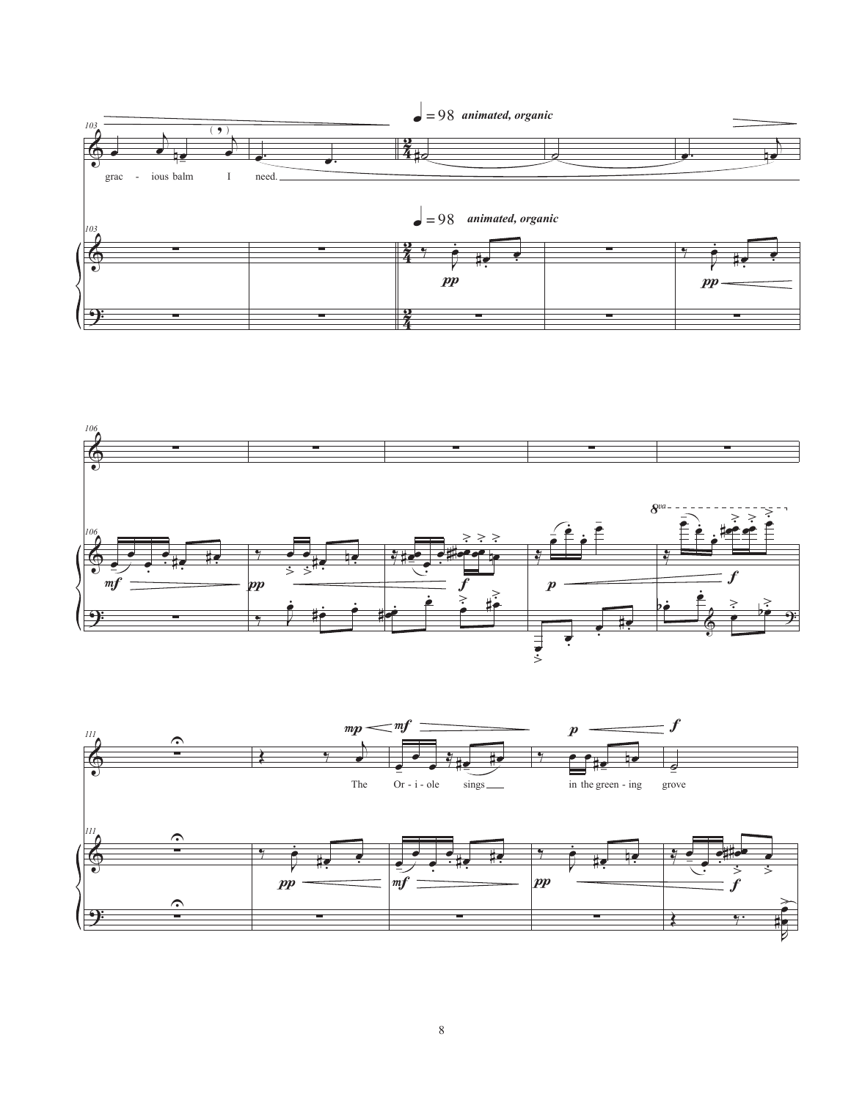



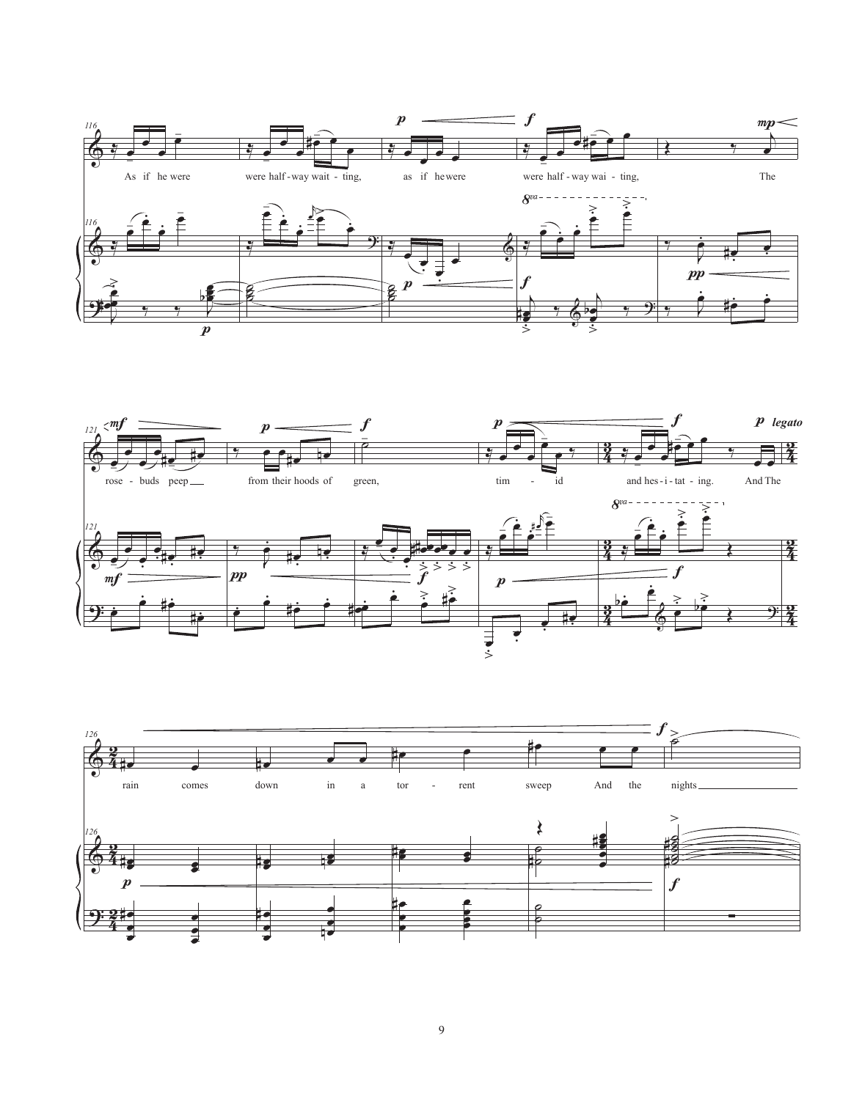